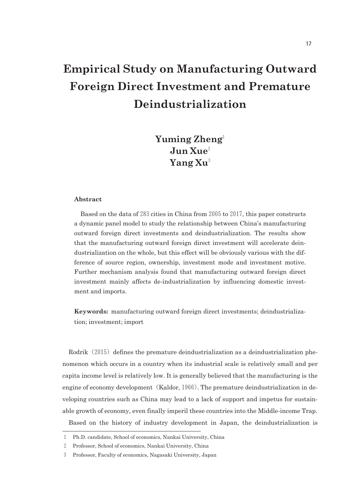# **Empirical Study on Manufacturing Outward Foreign Direct Investment and Premature Deindustrialization**

# **Yuming Zheng**<sup>1</sup> **Jun Xue**<sup>2</sup> **Yang Xu**<sup>3</sup>

#### **Abstract**

Based on the data of  $283$  cities in China from  $2005$  to  $2017$ , this paper constructs a dynamic panel model to study the relationship between China's manufacturing outward foreign direct investments and deindustrialization. The results show that the manufacturing outward foreign direct investment will accelerate deindustrialization on the whole, but this effect will be obviously various with the difference of source region, ownership, investment mode and investment motive. Further mechanism analysis found that manufacturing outward foreign direct investment mainly affects deindustrialization by influencing domestic investment and imports.

**Keywords:** manufacturing outward foreign direct investments; deindustrialization; investment; import

Rodrik  $(2015)$  defines the premature deindustrialization as a deindustrialization phenomenon which occurs in a country when its industrial scale is relatively small and per capita income level is relatively low. It is generally believed that the manufacturing is the engine of economy development (Kaldor, 1966). The premature deindustrialization in developing countries such as China may lead to a lack of support and impetus for sustainable growth of economy, even finally imperil these countries into the Middle-income Trap.

Based on the history of industry development in Japan, the deindustrialization is

<sup>1</sup> Ph.D. candidate, School of economics, Nankai University, China

<sup>2</sup> Professor, School of economics, Nankai University, China

<sup>3</sup> Professor, Faculty of economics, Nagasaki University, Japan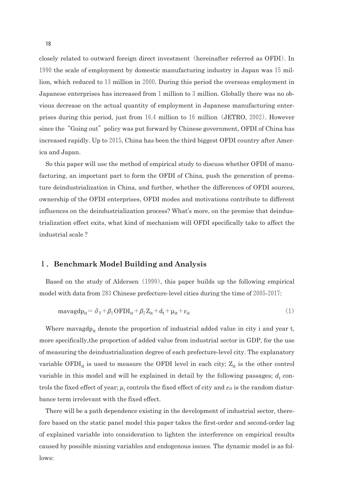closely related to outward foreign direct investment (hereinafter referred as OFDI). In 1990 the scale of employment by domestic manufacturing industry in Japan was 15 million, which reduced to13million in2000. During this period the overseas employment in Japanese enterprises has increased from 1 million to 3 million. Globally there was no obvious decrease on the actual quantity of employment in Japanese manufacturing enterprises during this period, just from  $16.4$  million to  $16$  million (JETRO, 2002). However since the "Going out" policy was put forward by Chinese government, OFDI of China has increased rapidly. Up to 2015, China has been the third biggest OFDI country after America and Japan.

So this paper will use the method of empirical study to discuss whether OFDI of manufacturing, an important part to form the OFDI of China, push the generation of premature deindustrialization in China, and further, whether the differences of OFDI sources, ownership of the OFDI enterprises, OFDI modes and motivations contribute to different influences on the deindustrialization process? What's more, on the premise that deindustrialization effect exits, what kind of mechanism will OFDI specifically take to affect the industrial scale ?

# 1.**Benchmark Model Building and Analysis**

Based on the study of Aldersen (1999), this paper builds up the following empirical model with data from  $283$  Chinese prefecture-level cities during the time of  $2005-2017$ :

$$
\text{maxagd} p_{it} = \partial_0 + \beta_1 \text{OFDI}_{it} + \beta_2 Z_{it} + d_t + \mu_{it} + \varepsilon_{it} \tag{1}
$$

Where mavagdp<sub>it</sub> denote the proportion of industrial added value in city i and year t, more specifically,the proportion of added value from industrial sector in GDP, for the use of measuring the deindustrialization degree of each prefecturelevel city. The explanatory variable  $\text{OFDI}_{it}$  is used to measure the OFDI level in each city;  $\text{Z}_{it}$  is the other control variable in this model and will be explained in detail by the following passages;  $d_t$  controls the fixed effect of year;  $\mu_i$  controls the fixed effect of city and  $\varepsilon_i$  is the random disturbance term irrelevant with the fixed effect.

There will be a path dependence existing in the development of industrial sector, therefore based on the static panel model this paper takes the first-order and second-order lag of explained variable into consideration to lighten the interference on empirical results caused by possible missing variables and endogenous issues. The dynamic model is as follows: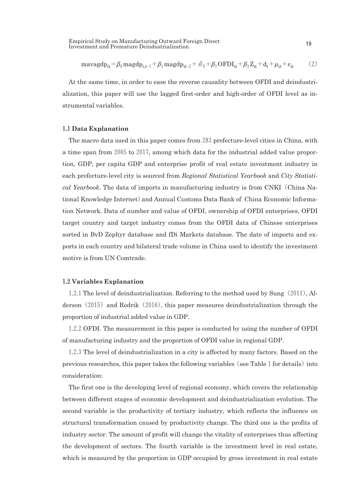Empirical Study on Manufacturing Outward Foreign Direct n tempirical Study on Manufacturing Outward Foreign Direct<br>Investment and Premature Deindustrialization

$$
\text{maxagd} p_{it} = \beta_0 \text{magd} p_{i, t-1} + \beta_1 \text{magd} p_{it-2} + \partial_0 + \beta_2 \text{OFDI}_{it} + \beta_3 Z_{it} + d_t + \mu_{it} + \varepsilon_{it} \tag{2}
$$

At the same time, in order to ease the reverse causality between OFDI and deindustrialization, this paper will use the lagged first-order and high-order of OFDI level as instrumental variables.

#### 1**.**1**Data Explanation**

The macro data used in this paper comes from 283 prefecture-level cities in China, with a time span from 2005 to 2017, among which data for the industrial added value proportion, GDP, per capita GDP and enterprise profit of real estate investment industry in each prefecturelevel city is sourced from *Regional Statistical Yearbook* and *City Statistical Yearbook*. The data of imports in manufacturing industry is from CNKI (China National Knowledge Internet)and Annual Customs Data Bank of China Economic Information Network. Data of number and value of OFDI, ownership of OFDI enterprises, OFDI target country and target industry comes from the OFDI data of Chinese enterprises sorted in BvD Zephyr database and fDi Markets database. The date of imports and exports in each country and bilateral trade volume in China used to identify the investment motive is from UN Comtrade.

#### 1**.**2**Variables Explanation**

1.2.1The level of deindustrialization. Referring to the method used by Sung(2011), Alderson  $(2015)$  and Rodrik  $(2016)$ , this paper measures deindustrialization through the proportion of industrial added value in GDP.

1.2.2OFDI. The measurement in this paper is conducted by using the number of OFDI of manufacturing industry and the proportion of OFDI value in regional GDP.

1.2.3The level of deindustrialization in a city is affected by many factors. Based on the previous researches, this paper takes the following variables (see Table 1 for details) into consideration:

The first one is the developing level of regional economy, which covers the relationship between different stages of economic development and deindustrialization evolution. The second variable is the productivity of tertiary industry, which reflects the influence on structural transformation caused by productivity change. The third one is the profits of industry sector. The amount of profit will change the vitality of enterprises thus affecting the development of sectors. The fourth variable is the investment level in real estate, which is measured by the proportion in GDP occupied by gross investment in real estate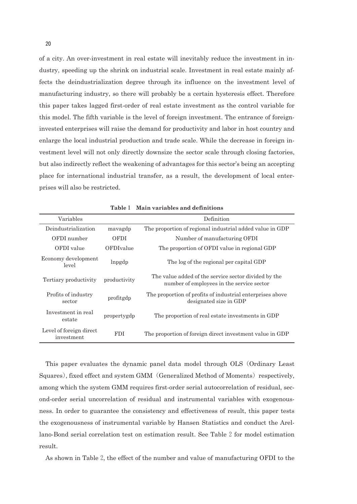of a city. An overinvestment in real estate will inevitably reduce the investment in industry, speeding up the shrink on industrial scale. Investment in real estate mainly affects the deindustrialization degree through its influence on the investment level of manufacturing industry, so there will probably be a certain hysteresis effect. Therefore this paper takes lagged first-order of real estate investment as the control variable for this model. The fifth variable is the level of foreign investment. The entrance of foreigninvested enterprises will raise the demand for productivity and labor in host country and enlarge the local industrial production and trade scale. While the decrease in foreign investment level will not only directly downsize the sector scale through closing factories, but also indirectly reflect the weakening of advantages for this sector's being an accepting place for international industrial transfer, as a result, the development of local enterprises will also be restricted.

| Variables                             |              | Definition                                                                                        |
|---------------------------------------|--------------|---------------------------------------------------------------------------------------------------|
| Deindustrialization                   | mavagdp      | The proportion of regional industrial added value in GDP                                          |
| OFDI number                           | <b>OFDI</b>  | Number of manufacturing OFDI                                                                      |
| OFDI value                            | OFDIvalue    | The proportion of OFDI value in regional GDP                                                      |
| Economy development<br>level          | lnpgdp       | The log of the regional per capital GDP                                                           |
| Tertiary productivity                 | productivity | The value added of the service sector divided by the<br>number of employees in the service sector |
| Profits of industry<br>sector         | profitgdp    | The proportion of profits of industrial enterprises above<br>designated size in GDP               |
| Investment in real<br>estate          | propertygdp  | The proportion of real estate investments in GDP                                                  |
| Level of foreign direct<br>investment | <b>FDI</b>   | The proportion of foreign direct investment value in GDP                                          |

**Table**1 **Main variables and definitions**

This paper evaluates the dynamic panel data model through OLS(Ordinary Least Squares), fixed effect and system GMM (Generalized Method of Moments) respectively, among which the system GMM requires first-order serial autocorrelation of residual, second-order serial uncorrelation of residual and instrumental variables with exogenousness. In order to guarantee the consistency and effectiveness of result, this paper tests the exogenousness of instrumental variable by Hansen Statistics and conduct the Arellano-Bond serial correlation test on estimation result. See Table 2 for model estimation result.

As shown in Table2, the effect of the number and value of manufacturing OFDI to the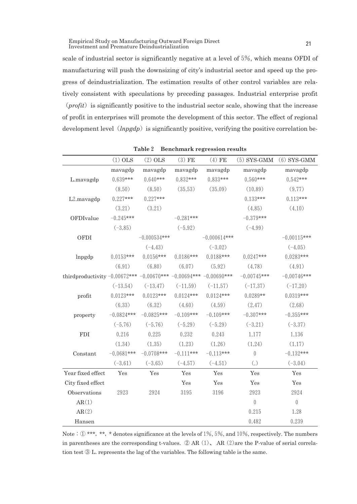Empirical Study on Manufacturing Outward Foreign Direct Empirical Study on Manufacturing Outward Foreign Direct<br>Investment and Premature Deindustrialization

scale of industrial sector is significantly negative at a level of5%, which means OFDI of manufacturing will push the downsizing of city's industrial sector and speed up the progress of deindustrialization. The estimation results of other control variables are relatively consistent with speculations by preceding passages. Industrial enterprise profit  $(prefit)$  is significantly positive to the industrial sector scale, showing that the increase of profit in enterprises will promote the development of this sector. The effect of regional development level (*lnpgdp*) is significantly positive, verifying the positive correlation be-

|                                                                         | $(1)$ OLS    | $(2)$ OLS      | $(3)$ FE    | $(4)$ FE       | $(5)$ SYS-GMM     | $(6)$ SYS-GMM    |
|-------------------------------------------------------------------------|--------------|----------------|-------------|----------------|-------------------|------------------|
|                                                                         | mavagdp      | mavagdp        | mavagdp     | mavagdp        | mavagdp           | mavagdp          |
| L.mavagdp                                                               | $0.639***$   | $0.640***$     | $0.832***$  | $0.833***$     | $0.560***$        | $0.542***$       |
|                                                                         | (8.50)       | (8.50)         | (35.53)     | (35.09)        | (10.89)           | (9.77)           |
| L2.mavagdp                                                              | $0.227***$   | $0.227***$     |             |                | $0.133***$        | $0.113***$       |
|                                                                         | (3.21)       | (3.21)         |             |                | (4.85)            | (4.10)           |
| OFDIvalue                                                               | $-0.245***$  |                | $-0.281***$ |                | $-0.379***$       |                  |
|                                                                         | $(-3.85)$    |                | $(-5.92)$   |                | $(-4.99)$         |                  |
| OFDI                                                                    |              | $-0.000534***$ |             | $-0.000614***$ |                   | $-0.00115***$    |
|                                                                         |              | $(-4.43)$      |             | $(-3.02)$      |                   | $(-4.05)$        |
| lnpgdp                                                                  | $0.0153***$  | $0.0156***$    | $0.0186***$ | $0.0188***$    | $0.0247***$       | $0.0283***$      |
|                                                                         | (6.91)       | (6.80)         | (6.07)      | (5.92)         | (4.78)            | (4.91)           |
| third<br>productivity $-0.00672*** -0.00670*** -0.00694*** -0.00690***$ |              |                |             |                | $-0.00745***$     | $-0.00746***$    |
|                                                                         | $(-13.54)$   | $(-13.47)$     | $(-11.59)$  | $(-11.57)$     | $(-17.37)$        | $(-17.20)$       |
| profit                                                                  | $0.0123***$  | $0.0123***$    | $0.0124***$ | $0.0124***$    | $0.0289**$        | $0.0319***$      |
|                                                                         | (6.33)       | (6.32)         | (4.60)      | (4.59)         | (2.47)            | (2.68)           |
| property                                                                | $-0.0824***$ | $-0.0825***$   | $-0.109***$ | $-0.109***$    | $-0.307***$       | $-0.355***$      |
|                                                                         | $(-5.76)$    | $(-5.76)$      | $(-5.29)$   | $(-5.29)$      | $(-3.21)$         | $(-3.37)$        |
| <b>FDI</b>                                                              | 0.216        | 0.225          | 0.232       | 0.243          | 1.177             | 1.136            |
|                                                                         | (1.34)       | (1.35)         | (1.23)      | (1.26)         | (1.24)            | (1.17)           |
| Constant                                                                | $-0.0681***$ | $-0.0708***$   | $-0.111***$ | $-0.113***$    | $\overline{0}$    | $-0.132***$      |
|                                                                         | $(-3.61)$    | $(-3.65)$      | $(-4.57)$   | $(-4.51)$      | $\left( .\right)$ | $(-3.04)$        |
| Year fixed effect                                                       | Yes          | Yes            | Yes         | Yes            | Yes               | Yes              |
| City fixed effect                                                       |              |                | Yes         | Yes            | Yes               | Yes              |
| Observations                                                            | 2923         | 2924           | 3195        | 3196           | 2923              | 2924             |
| AR(1)                                                                   |              |                |             |                | $\boldsymbol{0}$  | $\boldsymbol{0}$ |
| AR(2)                                                                   |              |                |             |                | 0.215             | 1.28             |
| Hansen                                                                  |              |                |             |                | 0.482             | 0.239            |

**Table**2 **Benchmark regression results**

Note:  $\mathbb{D}$ \*\*\*, \*\*, \* denotes significance at the levels of 1%, 5%, and 10%, respectively. The numbers in parentheses are the corresponding t-values.  $\oslash$  AR(1), AR(2)are the P-value of serial correlation test ③ L. represents the lag of the variables. The following table is the same.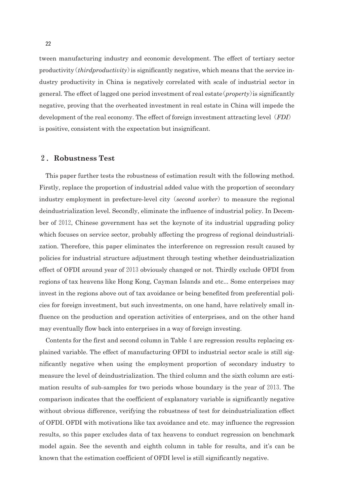tween manufacturing industry and economic development. The effect of tertiary sector productivity  $(thirdproductivity)$  is significantly negative, which means that the service industry productivity in China is negatively correlated with scale of industrial sector in general. The effect of lagged one period investment of real estate(*property*)is significantly negative, proving that the overheated investment in real estate in China will impede the development of the real economy. The effect of foreign investment attracting level(*FDI*) is positive, consistent with the expectation but insignificant.

### 2.**Robustness Test**

This paper further tests the robustness of estimation result with the following method. Firstly, replace the proportion of industrial added value with the proportion of secondary industry employment in prefecture-level city (*second worker*) to measure the regional deindustrialization level. Secondly, eliminate the influence of industrial policy. In December of2012, Chinese government has set the keynote of its industrial upgrading policy which focuses on service sector, probably affecting the progress of regional deindustrialization. Therefore, this paper eliminates the interference on regression result caused by policies for industrial structure adjustment through testing whether deindustrialization effect of OFDI around year of 2013 obviously changed or not. Thirdly exclude OFDI from regions of tax heavens like Hong Kong, Cayman Islands and etc... Some enterprises may invest in the regions above out of tax avoidance or being benefited from preferential policies for foreign investment, but such investments, on one hand, have relatively small influence on the production and operation activities of enterprises, and on the other hand may eventually flow back into enterprises in a way of foreign investing.

Contents for the first and second column in Table  $4$  are regression results replacing explained variable. The effect of manufacturing OFDI to industrial sector scale is still significantly negative when using the employment proportion of secondary industry to measure the level of deindustrialization. The third column and the sixth column are estimation results of sub-samples for two periods whose boundary is the year of 2013. The comparison indicates that the coefficient of explanatory variable is significantly negative without obvious difference, verifying the robustness of test for deindustrialization effect of OFDI. OFDI with motivations like tax avoidance and etc. may influence the regression results, so this paper excludes data of tax heavens to conduct regression on benchmark model again. See the seventh and eighth column in table for results, and it's can be known that the estimation coefficient of OFDI level is still significantly negative.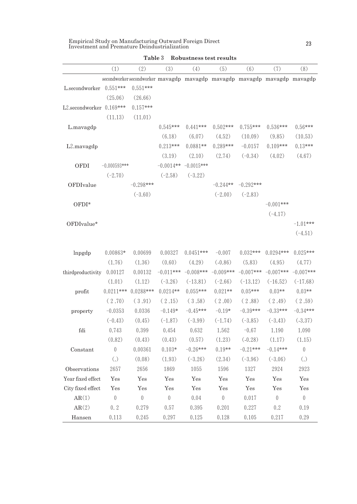| Empirical Study on Manufacturing Outward Foreign Direct |  |
|---------------------------------------------------------|--|
| Investment and Premature Deindustrialization            |  |

|                          | (1)              | (2)              | (3)              | (4)                                                                       | (5)              | (6)         | (7)              | (8)              |
|--------------------------|------------------|------------------|------------------|---------------------------------------------------------------------------|------------------|-------------|------------------|------------------|
|                          |                  |                  |                  | secondworker secondworker mavagdp mavagdp mavagdp mavagdp mavagdp mavagdp |                  |             |                  |                  |
| L.secondworker 0.551***  |                  | $0.551***$       |                  |                                                                           |                  |             |                  |                  |
|                          | (25.06)          | (26.66)          |                  |                                                                           |                  |             |                  |                  |
| L2.secondworker 0.169*** |                  | $0.157***$       |                  |                                                                           |                  |             |                  |                  |
|                          | (11.13)          | (11.01)          |                  |                                                                           |                  |             |                  |                  |
| L.mavagdp                |                  |                  | $0.545***$       | $0.441***$                                                                | $0.502***$       | $0.755***$  | $0.536***$       | $0.56***$        |
|                          |                  |                  | (6.18)           | (6.07)                                                                    | (4.52)           | (10.09)     | (9.85)           | (10.53)          |
| L2.mavagdp               |                  |                  | $0.213***$       | $0.0881**$                                                                | $0.289***$       | $-0.0157$   | $0.109***$       | $0.13***$        |
|                          |                  |                  | (3.19)           | (2.10)                                                                    | (2.74)           | $(-0.34)$   | (4.02)           | (4.67)           |
| OFDI                     | $-0.000593***$   |                  | $-0.0014**$      | $-0.0015***$                                                              |                  |             |                  |                  |
|                          | $(-2.70)$        |                  | $(-2.58)$        | $(-3.22)$                                                                 |                  |             |                  |                  |
| OFDIvalue                |                  | $-0.298***$      |                  |                                                                           | $-0.244**$       | $-0.292***$ |                  |                  |
|                          |                  | $(-3.60)$        |                  |                                                                           | $(-2.00)$        | $(-2.83)$   |                  |                  |
| OFDI*                    |                  |                  |                  |                                                                           |                  |             | $-0.001***$      |                  |
|                          |                  |                  |                  |                                                                           |                  |             | $(-4.17)$        |                  |
| OFDIvalue*               |                  |                  |                  |                                                                           |                  |             |                  | $-1.01***$       |
|                          |                  |                  |                  |                                                                           |                  |             |                  | $(-4.51)$        |
| lnpgdp                   | $0.00863*$       | 0.00699          | 0.00327          | $0.0451***$                                                               | $-0.007$         | $0.032***$  | $0.0294***$      | $0.025***$       |
|                          | (1.76)           | (1.36)           | (0.60)           | (4.29)                                                                    | (.0.86)          | (5.83)      | (4.95)           | (4.77)           |
| thirdproductivity        | 0.00127          | 0.00132          | $-0.011***$      | $-0.008***$                                                               | $-0.009***$      | $-0.007***$ | $-0.007***$      | $-0.007***$      |
|                          | (1.01)           | (1.12)           | $(-3.26)$        | $(-13.81)$                                                                | $(-2.66)$        | $(-13.12)$  | $(-16.52)$       | $(-17.68)$       |
| profit                   | $0.0211***$      | $0.0288***$      | $0.0214**$       | $0.055***$                                                                | $0.021**$        | $0.05***$   | $0.03**$         | $0.03**$         |
|                          | (2.70)           | (3.91)           | (2.15)           | (3.58)                                                                    | (2.00)           | (2.88)      | (2.49)           | (2.59)           |
| property                 | $-0.0353$        | 0.0336           | $-0.149*$        | $-0.45***$                                                                | $-0.19*$         | $-0.39***$  | $-0.33***$       | $-0.34***$       |
|                          | $(-0.43)$        | (0.45)           | $(-1.87)$        | $(-3.99)$                                                                 | $(-1.74)$        | $(-3.85)$   | $(-3.43)$        | (.3.37)          |
| $\operatorname{fdi}$     | 0.743            | 0.399            | 0.454            | 0.632                                                                     | 1.562            | $-0.67$     | 1.190            | 1.090            |
|                          | (0.82)           | (0.43)           | (0.43)           | (0.57)                                                                    | (1.23)           | $(-0.28)$   | (1.17)           | (1.15)           |
| Constant                 | $\boldsymbol{0}$ | 0.00361          | $0.103*$         | $-0.26***$                                                                | $0.19**$         | $-0.21***$  | $-0.14***$       | $\boldsymbol{0}$ |
|                          | $(.)$            | (0.08)           | (1.93)           | $(-3.26)$                                                                 | (2.34)           | $(-3.96)$   | $(-3.06)$        | $(.)$            |
| Observations             | 2657             | 2656             | 1869             | 1055                                                                      | 1596             | 1327        | 2924             | 2923             |
| Year fixed effect        | Yes              | Yes              | Yes              | Yes                                                                       | Yes              | Yes         | Yes              | Yes              |
| City fixed effect        | Yes              | Yes              | Yes              | Yes                                                                       | Yes              | Yes         | Yes              | Yes              |
| AR(1)                    | $\boldsymbol{0}$ | $\boldsymbol{0}$ | $\boldsymbol{0}$ | 0.04                                                                      | $\boldsymbol{0}$ | 0.017       | $\boldsymbol{0}$ | $\boldsymbol{0}$ |
| AR(2)                    | 0.2              | 0.279            | 0.57             | 0.395                                                                     | 0.201            | 0.227       | 0.2              | 0.19             |
| Hansen                   | 0.113            | 0.245            | 0.297            | 0.125                                                                     | 0.128            | 0.105       | 0.217            | 0.29             |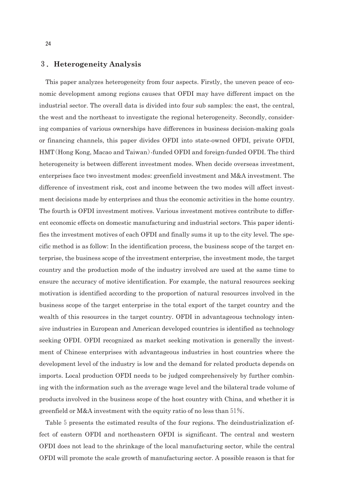#### 3.**Heterogeneity Analysis**

This paper analyzes heterogeneity from four aspects. Firstly, the uneven peace of economic development among regions causes that OFDI may have different impact on the industrial sector. The overall data is divided into four sub samples: the east, the central, the west and the northeast to investigate the regional heterogeneity. Secondly, considering companies of various ownerships have differences in business decision-making goals or financing channels, this paper divides OFDI into state-owned OFDI, private OFDI, HMT(Hong Kong, Macao and Taiwan)-funded OFDI and foreign-funded OFDI. The third heterogeneity is between different investment modes. When decide overseas investment, enterprises face two investment modes: greenfield investment and M&A investment. The difference of investment risk, cost and income between the two modes will affect investment decisions made by enterprises and thus the economic activities in the home country. The fourth is OFDI investment motives. Various investment motives contribute to different economic effects on domestic manufacturing and industrial sectors. This paper identifies the investment motives of each OFDI and finally sums it up to the city level. The specific method is as follow: In the identification process, the business scope of the target enterprise, the business scope of the investment enterprise, the investment mode, the target country and the production mode of the industry involved are used at the same time to ensure the accuracy of motive identification. For example, the natural resources seeking motivation is identified according to the proportion of natural resources involved in the business scope of the target enterprise in the total export of the target country and the wealth of this resources in the target country. OFDI in advantageous technology intensive industries in European and American developed countries is identified as technology seeking OFDI. OFDI recognized as market seeking motivation is generally the investment of Chinese enterprises with advantageous industries in host countries where the development level of the industry is low and the demand for related products depends on imports. Local production OFDI needs to be judged comprehensively by further combining with the information such as the average wage level and the bilateral trade volume of products involved in the business scope of the host country with China, and whether it is greenfield or M&A investment with the equity ratio of no less than  $51\%$ .

Table 5 presents the estimated results of the four regions. The deindustrialization effect of eastern OFDI and northeastern OFDI is significant. The central and western OFDI does not lead to the shrinkage of the local manufacturing sector, while the central OFDI will promote the scale growth of manufacturing sector. A possible reason is that for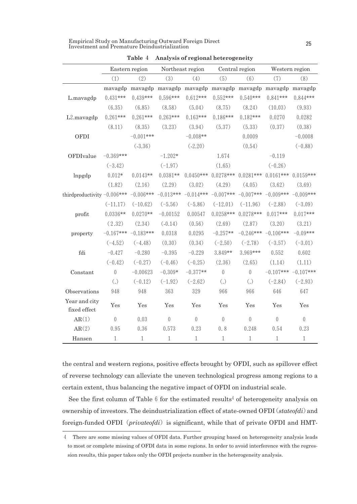| Empirical Study on Manufacturing Outward Foreign Direct |  |
|---------------------------------------------------------|--|
| Investment and Premature Deindustrialization            |  |

|                                               | Eastern region    |                                                                 | Northeast region |                | Central region    |                                     | Western region          |                |
|-----------------------------------------------|-------------------|-----------------------------------------------------------------|------------------|----------------|-------------------|-------------------------------------|-------------------------|----------------|
|                                               | (1)               | (2)                                                             | (3)              | (4)            | (5)               | (6)                                 | (7)                     | (8)            |
|                                               |                   | mavagdp mavagdp mavagdp mavagdp mavagdp mavagdp mavagdp mavagdp |                  |                |                   |                                     |                         |                |
| L.mavagdp                                     | $0.431***$        | $0.439***$                                                      | $0.596***$       | $0.612***$     | $0.552***$        | $0.540***$                          | $0.841***$              | $0.844***$     |
|                                               | (6.35)            | (6.85)                                                          | (8.58)           | (5.04)         | (8.75)            | (8.24)                              | (10.03)                 | (9.93)         |
| L2.mavagdp                                    | $0.261***$        | $0.261***$                                                      | $0.263***$       | $0.163***$     | $0.186***$        | $0.182***$                          | 0.0270                  | 0.0282         |
|                                               | (8.11)            | (8.35)                                                          | (3.23)           | (3.94)         | (5.37)            | (5.33)                              | (0.37)                  | (0.38)         |
| OFDI                                          |                   | $-0.001***$                                                     |                  | $-0.008**$     |                   | 0.0009                              |                         | $-0.0008$      |
|                                               |                   | (.3.36)                                                         |                  | (.2.20)        |                   | (0.54)                              |                         | $(-0.88)$      |
| OFDIvalue                                     | $-0.369***$       |                                                                 | $-1.202*$        |                | 1.674             |                                     | $-0.119$                |                |
|                                               | $(-3.42)$         |                                                                 | $(-1.97)$        |                | (1.65)            |                                     | $(-0.26)$               |                |
| lnpgdp                                        | $0.012*$          | $0.0143**$                                                      | $0.0381**$       | $0.0450***$    | $0.0278***$       |                                     | $0.0281***$ 0.0161***   | $0.0159***$    |
|                                               | (1.82)            | (2.16)                                                          | (2.29)           | (3.02)         | (4.29)            | (4.05)                              | (3.62)                  | (3.69)         |
| third<br>productivity $-0.006***$ $-0.006***$ |                   |                                                                 | $-0.013***$      | $-0.014***$    |                   | $-0.007***$ $-0.007***$ $-0.009***$ |                         | $-0.009***$    |
|                                               | $(-11.17)$        | $(-10.62)$                                                      | $(-5.56)$        | $(-5.86)$      | $(-12.01)$        | $(-11.96)$                          | $(-2.88)$               | $(-3.09)$      |
| profit                                        | $0.0336**$        | $0.0270**$                                                      | $-0.00152$       | 0.00547        | $0.0258***$       | $0.0278***$                         | $0.017***$              | $0.017***$     |
|                                               | (2.32)            | (2.34)                                                          | $(-0.14)$        | (0.56)         | (2.69)            | (2.87)                              | (3.20)                  | (3.21)         |
| property                                      |                   | $-0.167***$ $-0.183***$                                         | 0.0318           | 0.0295         | $-0.257**$        |                                     | $-0.246***$ $-0.106***$ | $-0.09***$     |
|                                               | $(-4.52)$         | $(-4.48)$                                                       | (0.30)           | (0.34)         | $(-2.50)$         | $(-2.78)$                           | $(-3.57)$               | $(-3.01)$      |
| fdi                                           | $-0.427$          | $-0.280$                                                        | $-0.395$         | $-0.229$       | 3.849**           | $3.969***$                          | 0.552                   | 0.602          |
|                                               | $(-0.42)$         | $(-0.27)$                                                       | $(-0.46)$        | $(-0.25)$      | (2.36)            | (2.65)                              | (1.14)                  | (1.11)         |
| Constant                                      | $\theta$          | $-0.00623$                                                      | $-0.309*$        | $-0.377**$     | $\mathbf{0}$      | $\overline{0}$                      | $-0.107***$             | $-0.107***$    |
|                                               | $\left( .\right)$ | $(-0.12)$                                                       | $(-1.92)$        | $(-2.62)$      | $\left( .\right)$ | $\left( .\right)$                   | $(-2.84)$               | $(-2.93)$      |
| Observations                                  | 948               | 948                                                             | 363              | 329            | 966               | 966                                 | 646                     | 647            |
| Year and city<br>fixed effect                 | Yes               | Yes                                                             | Yes              | Yes            | Yes               | Yes                                 | Yes                     | Yes            |
| AR(1)                                         | $\theta$          | 0.03                                                            | $\theta$         | $\overline{0}$ | $\theta$          | $\boldsymbol{0}$                    | $\overline{0}$          | $\overline{0}$ |
| AR(2)                                         | 0.95              | 0.36                                                            | 0.573            | 0.23           | 0.8               | 0.248                               | 0.54                    | 0.23           |
| Hansen                                        | $\mathbf{1}$      | $\mathbf{1}$                                                    | $\mathbf{1}$     | $1\,$          | $\mathbf{1}$      | $\mathbf{1}$                        | $\mathbf{1}$            | $1\,$          |

**Table** 4 **Analysis of regional heterogeneity**

the central and western regions, positive effects brought by OFDI, such as spillover effect of reverse technology can alleviate the uneven technological progress among regions to a certain extent, thus balancing the negative impact of OFDI on industrial scale.

See the first column of Table 6 for the estimated results<sup>4</sup> of heterogeneity analysis on ownership of investors. The deindustrialization effect of state-owned OFDI(*stateofdi*)and foreign-funded OFDI (*privateofdi*) is significant, while that of private OFDI and HMT-

<sup>4</sup> There are some missing values of OFDI data. Further grouping based on heterogeneity analysis leads to most or complete missing of OFDI data in some regions. In order to avoid interference with the regression results, this paper takes only the OFDI projects number in the heterogeneity analysis.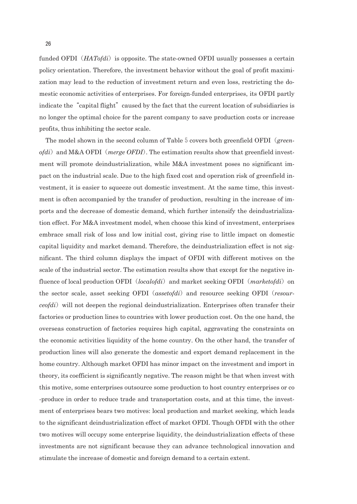funded OFDI (*HATofdi*) is opposite. The state-owned OFDI usually possesses a certain policy orientation. Therefore, the investment behavior without the goal of profit maximization may lead to the reduction of investment return and even loss, restricting the domestic economic activities of enterprises. For foreign-funded enterprises, its OFDI partly indicate the "capital flight" caused by the fact that the current location of subsidiaries is no longer the optimal choice for the parent company to save production costs or increase profits, thus inhibiting the sector scale.

The model shown in the second column of Table 5 covers both greenfield OFDI (*greenofdi*) and M&A OFDI (*merge OFDI*). The estimation results show that greenfield investment will promote deindustrialization, while M&A investment poses no significant impact on the industrial scale. Due to the high fixed cost and operation risk of greenfield investment, it is easier to squeeze out domestic investment. At the same time, this investment is often accompanied by the transfer of production, resulting in the increase of imports and the decrease of domestic demand, which further intensify the deindustrialization effect. For M&A investment model, when choose this kind of investment, enterprises embrace small risk of loss and low initial cost, giving rise to little impact on domestic capital liquidity and market demand. Therefore, the deindustrialization effect is not significant. The third column displays the impact of OFDI with different motives on the scale of the industrial sector. The estimation results show that except for the negative influence of local production OFDI (*localofdi*) and market seeking OFDI (*marketofdi*) on the sector scale, asset seeking OFDI(*assetofdi*)and resource seeking OFDI(*resourceofdi*) will not deepen the regional deindustrialization. Enterprises often transfer their factories or production lines to countries with lower production cost. On the one hand, the overseas construction of factories requires high capital, aggravating the constraints on the economic activities liquidity of the home country. On the other hand, the transfer of production lines will also generate the domestic and export demand replacement in the home country. Although market OFDI has minor impact on the investment and import in theory, its coefficient is significantly negative. The reason might be that when invest with this motive, some enterprises outsource some production to host country enterprises or co -produce in order to reduce trade and transportation costs, and at this time, the investment of enterprises bears two motives: local production and market seeking, which leads to the significant deindustrialization effect of market OFDI. Though OFDI with the other two motives will occupy some enterprise liquidity, the deindustrialization effects of these investments are not significant because they can advance technological innovation and stimulate the increase of domestic and foreign demand to a certain extent.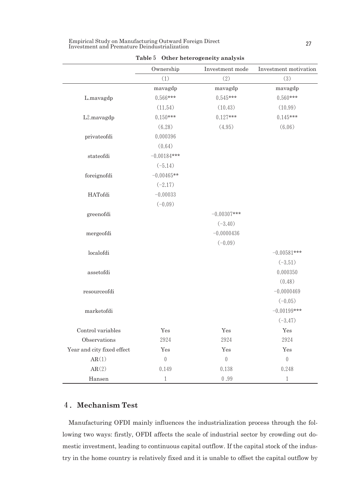| Empirical Study on Manufacturing Outward Foreign Direct |  |
|---------------------------------------------------------|--|
| Investment and Premature Deindustrialization            |  |

|                            | Ownership        | Investment mode  | Investment motivation |
|----------------------------|------------------|------------------|-----------------------|
|                            | (1)              | (2)              | (3)                   |
|                            | mavagdp          | mavagdp          | mavagdp               |
| L.mavagdp                  | $0.566***$       | $0.545***$       | $0.560***$            |
|                            | (11.54)          | (10.43)          | (10.99)               |
| L2.mavagdp                 | $0.150***$       | $0.127***$       | $0.145***$            |
|                            | (6.28)           | (4.95)           | (6.06)                |
| $\operatorname{private}$   | 0.000396         |                  |                       |
|                            | (0.64)           |                  |                       |
| stateofdi                  | $-0.00184***$    |                  |                       |
|                            | $(-5.14)$        |                  |                       |
| foreignofdi                | $-0.00465**$     |                  |                       |
|                            | $(-2.17)$        |                  |                       |
| HATofdi                    | $-0.00033$       |                  |                       |
|                            | $(-0.09)$        |                  |                       |
| greenofdi                  |                  | $-0.00307***$    |                       |
|                            |                  | $(-3.40)$        |                       |
| mergeofdi                  |                  | $-0.0000436$     |                       |
|                            |                  | $(-0.09)$        |                       |
| localofdi                  |                  |                  | $-0.00581***$         |
|                            |                  |                  | $(-3.51)$             |
| assetofdi                  |                  |                  | 0.000350              |
|                            |                  |                  | (0.48)                |
| resourceofdi               |                  |                  | $-0.0000469$          |
|                            |                  |                  | $(-0.05)$             |
| marketofdi                 |                  |                  | $-0.00199***$         |
|                            |                  |                  | $(-3.47)$             |
| Control variables          | Yes              | Yes              | Yes                   |
| Observations               | 2924             | 2924             | 2924                  |
| Year and city fixed effect | Yes              | Yes              | Yes                   |
| AR(1)                      | $\boldsymbol{0}$ | $\left( \right)$ | $\boldsymbol{0}$      |
| AR(2)                      | 0.149            | 0.138            | 0.248                 |
| Hansen                     | 1                | 0.99             | $\mathbf{1}$          |

**Table**5 **Other heterogeneity analysis**

# 4.**Mechanism Test**

Manufacturing OFDI mainly influences the industrialization process through the following two ways: firstly, OFDI affects the scale of industrial sector by crowding out domestic investment, leading to continuous capital outflow. If the capital stock of the industry in the home country is relatively fixed and it is unable to offset the capital outflow by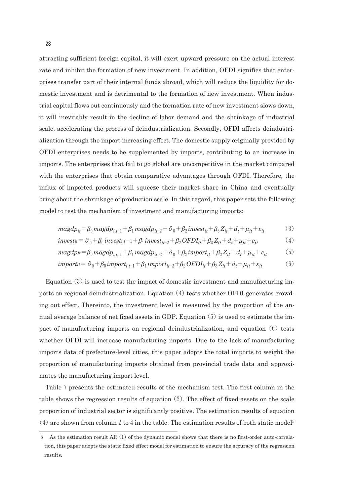attracting sufficient foreign capital, it will exert upward pressure on the actual interest rate and inhibit the formation of new investment. In addition, OFDI signifies that enterprises transfer part of their internal funds abroad, which will reduce the liquidity for domestic investment and is detrimental to the formation of new investment. When industrial capital flows out continuously and the formation rate of new investment slows down, it will inevitably result in the decline of labor demand and the shrinkage of industrial scale, accelerating the process of deindustrialization. Secondly, OFDI affects deindustrialization through the import increasing effect. The domestic supply originally provided by OFDI enterprises needs to be supplemented by imports, contributing to an increase in imports. The enterprises that fail to go global are uncompetitive in the market compared with the enterprises that obtain comparative advantages through OFDI. Therefore, the influx of imported products will squeeze their market share in China and eventually bring about the shrinkage of production scale. In this regard, this paper sets the following model to test the mechanism of investment and manufacturing imports:

$$
mag dp_{it} = \beta_0 mag dp_{i,t-1} + \beta_1 mag dp_{it-2} + \partial_0 + \beta_2 inverse_{it} + \beta_3 Z_{it} + d_t + \mu_{it} + \varepsilon_{it}
$$
(3)

$$
invest_{it} = \partial_0 + \beta_0 invest_{i,t-1} + \beta_1 invest_{it-2} + \beta_2 OFDI_{it} + \beta_3 Z_{it} + d_t + \mu_{it} + \varepsilon_{it}
$$
\n(4)

$$
magdp_{it} = \beta_0 magdp_{i,t-1} + \beta_1 magdp_{it-2} + \partial_0 + \beta_2 import_{it} + \beta_3 Z_{it} + d_t + \mu_{it} + \varepsilon_{it}
$$
(5)

$$
import u = \partial_0 + \beta_0 import_{i,t-1} + \beta_1 import_{it-2} + \beta_2 OFDI_{it} + \beta_3 Z_{it} + d_t + \mu_{it} + \varepsilon_{it}
$$
(6)

Equation  $(3)$  is used to test the impact of domestic investment and manufacturing imports on regional deindustrialization. Equation  $(4)$  tests whether OFDI generates crowding out effect. Thereinto, the investment level is measured by the proportion of the annual average balance of net fixed assets in GDP. Equation  $(5)$  is used to estimate the impact of manufacturing imports on regional deindustrialization, and equation  $(6)$  tests whether OFDI will increase manufacturing imports. Due to the lack of manufacturing imports data of prefecture-level cities, this paper adopts the total imports to weight the proportion of manufacturing imports obtained from provincial trade data and approximates the manufacturing import level.

Table 7 presents the estimated results of the mechanism test. The first column in the table shows the regression results of equation  $(3)$ . The effect of fixed assets on the scale proportion of industrial sector is significantly positive. The estimation results of equation (4) are shown from column 2 to 4 in the table. The estimation results of both static model<sup>5</sup>

<sup>5</sup> As the estimation result AR(1) of the dynamic model shows that there is no first-order auto-correlation, this paper adopts the static fixed effect model for estimation to ensure the accuracy of the regression results.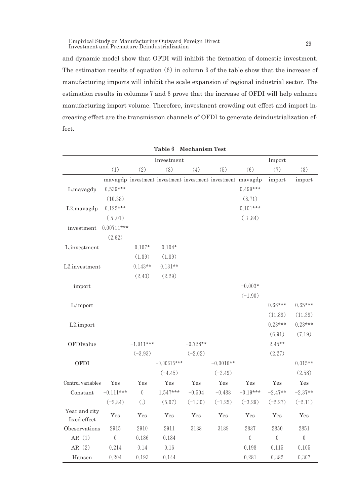Empirical Study on Manufacturing Outward Foreign Direct Empirical Study on Manufacturing Outward Foreign Direct<br>Investment and Premature Deindustrialization

and dynamic model show that OFDI will inhibit the formation of domestic investment. The estimation results of equation  $(6)$  in column 6 of the table show that the increase of manufacturing imports will inhibit the scale expansion of regional industrial sector. The estimation results in columns7and8prove that the increase of OFDI will help enhance manufacturing import volume. Therefore, investment crowding out effect and import increasing effect are the transmission channels of OFDI to generate deindustrialization effect.

|                               |                |                   | Investment    |            |                                                             | Import         |                |                  |  |
|-------------------------------|----------------|-------------------|---------------|------------|-------------------------------------------------------------|----------------|----------------|------------------|--|
|                               | (1)            | (2)               | (3)           | (4)        | (5)                                                         | (6)            | (7)            | (8)              |  |
|                               |                |                   |               |            | mavagdp investment investment investment investment mavagdp |                | import         | import           |  |
| L.mavagdp                     | $0.539***$     |                   |               |            |                                                             | $0.499***$     |                |                  |  |
|                               | (10.38)        |                   |               |            |                                                             | (8.71)         |                |                  |  |
| L2.mavagdp                    | $0.122***$     |                   |               |            |                                                             | $0.101***$     |                |                  |  |
|                               | (5.01)         |                   |               |            |                                                             | (3.84)         |                |                  |  |
| investment                    | $0.00711***$   |                   |               |            |                                                             |                |                |                  |  |
|                               | (2.62)         |                   |               |            |                                                             |                |                |                  |  |
| L.investment                  |                | $0.107*$          | $0.104*$      |            |                                                             |                |                |                  |  |
|                               |                | (1.89)            | (1.89)        |            |                                                             |                |                |                  |  |
| L2.investment                 |                | $0.143**$         | $0.131**$     |            |                                                             |                |                |                  |  |
|                               |                | (2.40)            | (2.29)        |            |                                                             |                |                |                  |  |
| import                        |                |                   |               |            |                                                             | $-0.003*$      |                |                  |  |
|                               |                |                   |               |            |                                                             | $(-1.90)$      |                |                  |  |
| L.import                      |                |                   |               |            |                                                             |                | $0.66***$      | $0.65***$        |  |
|                               |                |                   |               |            |                                                             |                | (11.89)        | (11.39)          |  |
| L <sub>2</sub> .import        |                |                   |               |            |                                                             |                | $0.23***$      | $0.23***$        |  |
|                               |                |                   |               |            |                                                             |                | (6.91)         | (7.19)           |  |
| OFDIvalue                     |                | $-1.911***$       |               | $-0.728**$ |                                                             |                | $2.45**$       |                  |  |
|                               |                | $(-3.93)$         |               | $(-2.02)$  |                                                             |                | (2.27)         |                  |  |
| OFDI                          |                |                   | $-0.00615***$ |            | $-0.0016**$                                                 |                |                | $0.015**$        |  |
|                               |                |                   | $(-4.45)$     |            | $(-2.49)$                                                   |                |                | (2.58)           |  |
| Control variables             | Yes            | Yes               | Yes           | Yes        | Yes                                                         | Yes            | Yes            | Yes              |  |
| Constant                      | $-0.111***$    | $\overline{0}$    | 1.547***      | $-0.504$   | $-0.488$                                                    | $-0.19***$     | $-2.47**$      | $-2.37**$        |  |
|                               | $(-2.84)$      | $\left( .\right)$ | (5.07)        | $(-1.30)$  | $(-1.25)$                                                   | $(-3.29)$      | $(-2.27)$      | $(-2.11)$        |  |
| Year and city<br>fixed effect | Yes            | Yes               | Yes           | Yes        | Yes                                                         | Yes            | Yes            | Yes              |  |
| Obeservations                 | 2915           | 2910              | 2911          | 3188       | 3189                                                        | 2887           | 2850           | 2851             |  |
| AR $(1)$                      | $\overline{0}$ | 0.186             | 0.184         |            |                                                             | $\overline{0}$ | $\overline{0}$ | $\boldsymbol{0}$ |  |
| AR $(2)$                      | 0.214          | 0.14              | 0.16          |            |                                                             | 0.198          | 0.115          | 0.105            |  |
| Hansen                        | 0.204          | 0.193             | 0.144         |            |                                                             | 0.281          | 0.382          | 0.307            |  |

**Table**6 **Mechanism Test**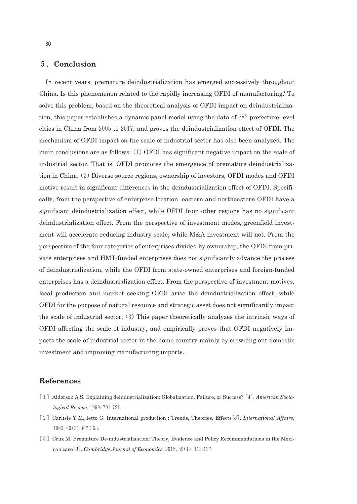### 5.**Conclusion**

In recent years, premature deindustrialization has emerged successively throughout China. Is this phenomenon related to the rapidly increasing OFDI of manufacturing? To solve this problem, based on the theoretical analysis of OFDI impact on deindustrialization, this paper establishes a dynamic panel model using the data of 283 prefecture-level cities in China from  $2005$  to  $2017$ , and proves the deindustrialization effect of OFDI. The mechanism of OFDI impact on the scale of industrial sector has also been analyzed. The main conclusions are as follows:  $(1)$  OFDI has significant negative impact on the scale of industrial sector. That is, OFDI promotes the emergence of premature deindustrialization in China. (2) Diverse source regions, ownership of investors, OFDI modes and OFDI motive result in significant differences in the deindustrialization effect of OFDI. Specifically, from the perspective of enterprise location, eastern and northeastern OFDI have a significant deindustrialization effect, while OFDI from other regions has no significant deindustrialization effect. From the perspective of investment modes, greenfield investment will accelerate reducing industry scale, while M&A investment will not. From the perspective of the four categories of enterprises divided by ownership, the OFDI from private enterprises and HMT-funded enterprises does not significantly advance the process of deindustrialization, while the OFDI from state-owned enterprises and foreign-funded enterprises has a deindustrialization effect. From the perspective of investment motives, local production and market seeking OFDI arise the deindustrialization effect, while OFDI for the purpose of natural resource and strategic asset does not significantly impact the scale of industrial sector.  $(3)$  This paper theoretically analyzes the intrinsic ways of OFDI affecting the scale of industry, and empirically proves that OFDI negatively impacts the scale of industrial sector in the home country mainly by crowding out domestic investment and improving manufacturing imports.

# **References**

- [1] Alderson A S. Explaining deindustrialization: Globalization, Failure, or Success? [J]. *American Sociological Review*,1999:701-721.
- [2]Carlisle Y M, Ietto G. International production : Trends, Theories, Effects[J]. *International Affairs*, 1993,69(2):362-363.
- [3] Cruz M. Premature De-industrialisation: Theory, Evidence and Policy Recommendations in the Mexican case[J]. *Cambridge Journal of Economics*,2015,39(1):113-137.